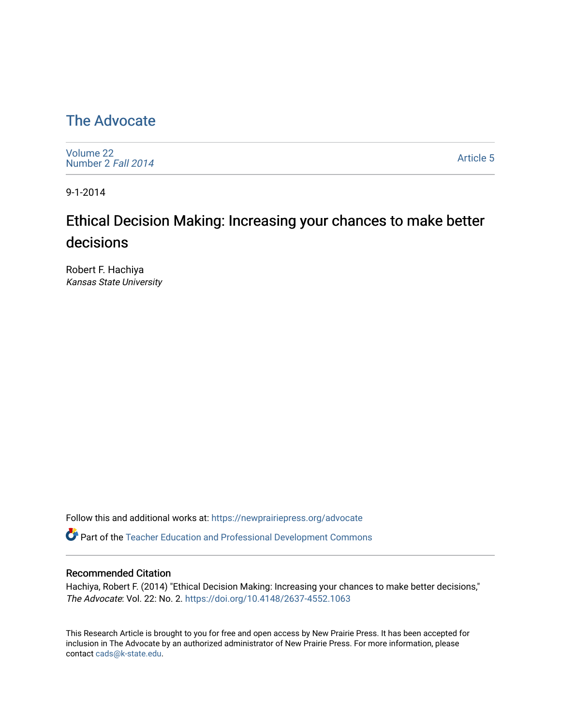## [The Advocate](https://newprairiepress.org/advocate)

[Volume 22](https://newprairiepress.org/advocate/vol22) [Number 2](https://newprairiepress.org/advocate/vol22/iss2) Fall 2014

[Article 5](https://newprairiepress.org/advocate/vol22/iss2/5) 

9-1-2014

# Ethical Decision Making: Increasing your chances to make better decisions

Robert F. Hachiya Kansas State University

Follow this and additional works at: [https://newprairiepress.org/advocate](https://newprairiepress.org/advocate?utm_source=newprairiepress.org%2Fadvocate%2Fvol22%2Fiss2%2F5&utm_medium=PDF&utm_campaign=PDFCoverPages) 

Part of the [Teacher Education and Professional Development Commons](http://network.bepress.com/hgg/discipline/803?utm_source=newprairiepress.org%2Fadvocate%2Fvol22%2Fiss2%2F5&utm_medium=PDF&utm_campaign=PDFCoverPages) 

#### Recommended Citation

Hachiya, Robert F. (2014) "Ethical Decision Making: Increasing your chances to make better decisions," The Advocate: Vol. 22: No. 2.<https://doi.org/10.4148/2637-4552.1063>

This Research Article is brought to you for free and open access by New Prairie Press. It has been accepted for inclusion in The Advocate by an authorized administrator of New Prairie Press. For more information, please contact [cads@k-state.edu](mailto:cads@k-state.edu).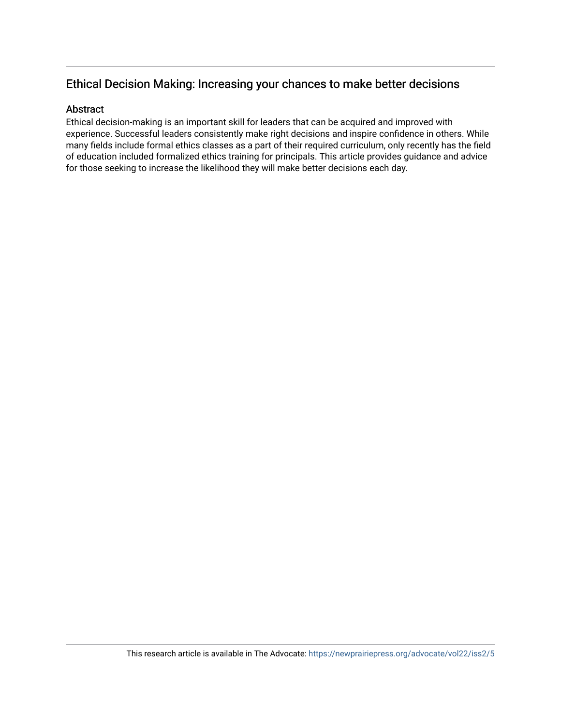#### Ethical Decision Making: Increasing your chances to make better decisions

#### Abstract

Ethical decision-making is an important skill for leaders that can be acquired and improved with experience. Successful leaders consistently make right decisions and inspire confidence in others. While many fields include formal ethics classes as a part of their required curriculum, only recently has the field of education included formalized ethics training for principals. This article provides guidance and advice for those seeking to increase the likelihood they will make better decisions each day.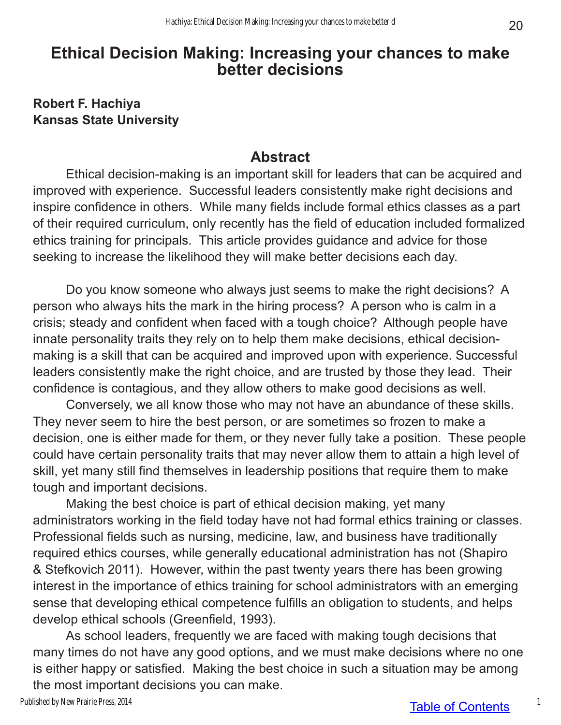## **Ethical Decision Making: Increasing your chances to make better decisions**

#### **Robert F. Hachiya Kansas State University**

#### **Abstract**

Ethical decision-making is an important skill for leaders that can be acquired and improved with experience. Successful leaders consistently make right decisions and inspire confidence in others. While many fields include formal ethics classes as a part of their required curriculum, only recently has the field of education included formalized ethics training for principals. This article provides guidance and advice for those seeking to increase the likelihood they will make better decisions each day.

Do you know someone who always just seems to make the right decisions? A person who always hits the mark in the hiring process? A person who is calm in a crisis; steady and confident when faced with a tough choice? Although people have innate personality traits they rely on to help them make decisions, ethical decisionmaking is a skill that can be acquired and improved upon with experience. Successful leaders consistently make the right choice, and are trusted by those they lead. Their confidence is contagious, and they allow others to make good decisions as well.

Conversely, we all know those who may not have an abundance of these skills. They never seem to hire the best person, or are sometimes so frozen to make a decision, one is either made for them, or they never fully take a position. These people could have certain personality traits that may never allow them to attain a high level of skill, yet many still find themselves in leadership positions that require them to make tough and important decisions.

Making the best choice is part of ethical decision making, yet many administrators working in the field today have not had formal ethics training or classes. Professional fields such as nursing, medicine, law, and business have traditionally required ethics courses, while generally educational administration has not (Shapiro & Stefkovich 2011). However, within the past twenty years there has been growing interest in the importance of ethics training for school administrators with an emerging sense that developing ethical competence fulfills an obligation to students, and helps develop ethical schools (Greenfield, 1993).

As school leaders, frequently we are faced with making tough decisions that many times do not have any good options, and we must make decisions where no one is either happy or satisfied. Making the best choice in such a situation may be among the most important decisions you can make.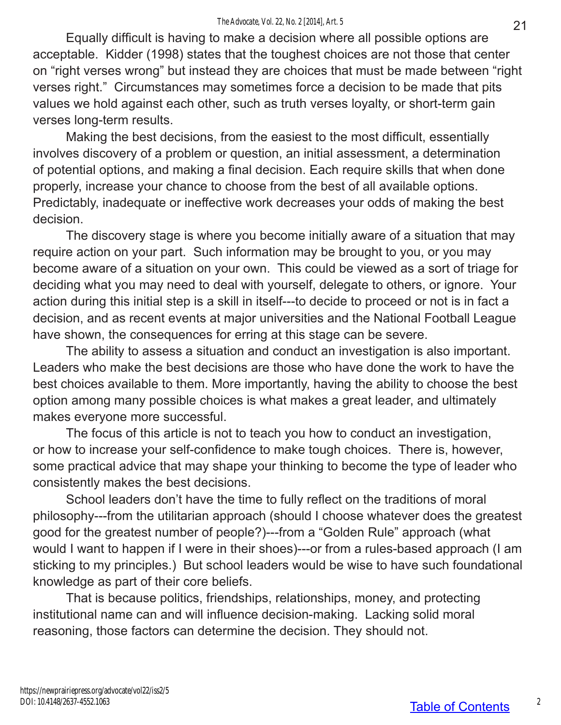Equally difficult is having to make a decision where all possible options are acceptable. Kidder (1998) states that the toughest choices are not those that center on "right verses wrong" but instead they are choices that must be made between "right verses right." Circumstances may sometimes force a decision to be made that pits values we hold against each other, such as truth verses loyalty, or short-term gain verses long-term results.

Making the best decisions, from the easiest to the most difficult, essentially involves discovery of a problem or question, an initial assessment, a determination of potential options, and making a final decision. Each require skills that when done properly, increase your chance to choose from the best of all available options. Predictably, inadequate or ineffective work decreases your odds of making the best decision.

The discovery stage is where you become initially aware of a situation that may require action on your part. Such information may be brought to you, or you may become aware of a situation on your own. This could be viewed as a sort of triage for deciding what you may need to deal with yourself, delegate to others, or ignore. Your action during this initial step is a skill in itself---to decide to proceed or not is in fact a decision, and as recent events at major universities and the National Football League have shown, the consequences for erring at this stage can be severe.

The ability to assess a situation and conduct an investigation is also important. Leaders who make the best decisions are those who have done the work to have the best choices available to them. More importantly, having the ability to choose the best option among many possible choices is what makes a great leader, and ultimately makes everyone more successful.

The focus of this article is not to teach you how to conduct an investigation, or how to increase your self-confidence to make tough choices. There is, however, some practical advice that may shape your thinking to become the type of leader who consistently makes the best decisions.

School leaders don't have the time to fully reflect on the traditions of moral philosophy---from the utilitarian approach (should I choose whatever does the greatest good for the greatest number of people?)---from a "Golden Rule" approach (what would I want to happen if I were in their shoes)---or from a rules-based approach (I am sticking to my principles.) But school leaders would be wise to have such foundational knowledge as part of their core beliefs.

That is because politics, friendships, relationships, money, and protecting institutional name can and will influence decision-making. Lacking solid moral reasoning, those factors can determine the decision. They should not.

2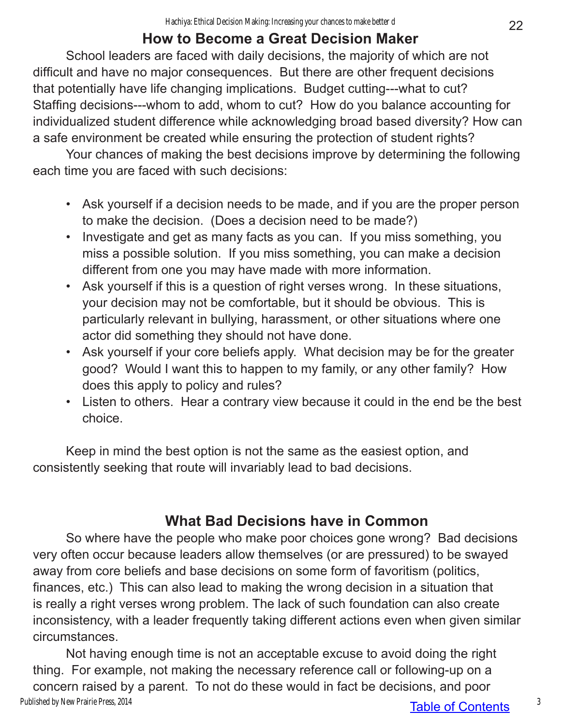## **How to Become a Great Decision Maker**

School leaders are faced with daily decisions, the majority of which are not difficult and have no major consequences. But there are other frequent decisions that potentially have life changing implications. Budget cutting---what to cut? Staffing decisions---whom to add, whom to cut? How do you balance accounting for individualized student difference while acknowledging broad based diversity? How can a safe environment be created while ensuring the protection of student rights?

Your chances of making the best decisions improve by determining the following each time you are faced with such decisions:

- Ask yourself if a decision needs to be made, and if you are the proper person to make the decision. (Does a decision need to be made?)
- Investigate and get as many facts as you can. If you miss something, you miss a possible solution. If you miss something, you can make a decision different from one you may have made with more information.
- Ask yourself if this is a question of right verses wrong. In these situations, your decision may not be comfortable, but it should be obvious. This is particularly relevant in bullying, harassment, or other situations where one actor did something they should not have done.
- Ask yourself if your core beliefs apply. What decision may be for the greater good? Would I want this to happen to my family, or any other family? How does this apply to policy and rules?
- Listen to others. Hear a contrary view because it could in the end be the best choice.

Keep in mind the best option is not the same as the easiest option, and consistently seeking that route will invariably lead to bad decisions.

## **What Bad Decisions have in Common**

So where have the people who make poor choices gone wrong? Bad decisions very often occur because leaders allow themselves (or are pressured) to be swayed away from core beliefs and base decisions on some form of favoritism (politics, finances, etc.) This can also lead to making the wrong decision in a situation that is really a right verses wrong problem. The lack of such foundation can also create inconsistency, with a leader frequently taking different actions even when given similar circumstances.

Not having enough time is not an acceptable excuse to avoid doing the right thing. For example, not making the necessary reference call or following-up on a concern raised by a parent. To not do these would in fact be decisions, and poor Published by New Prairie Press, 2014

3